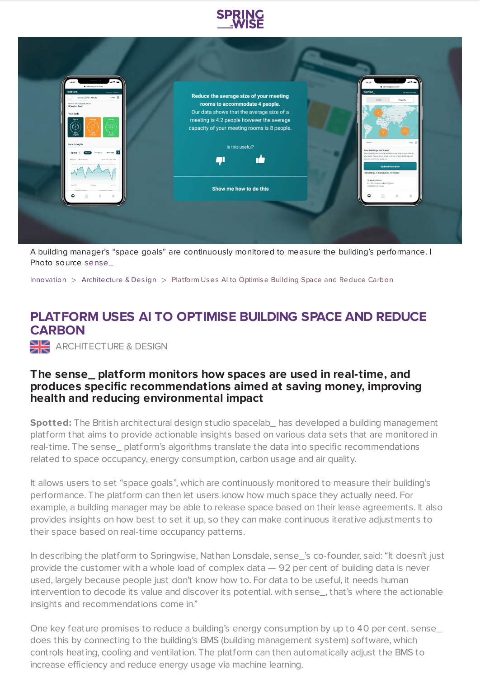



A building manager's "space goals" are continuously monitored to measure the building's performance. | Photo source [sense\\_](https://www.sensespace.com/)

[Innovation](https://www.springwise.com/search?type=innovation) > [Architecture](https://www.springwise.com/search?type=innovation§or=architecture-design) & Design > Platform Uses AI to Optimise Building Space and Reduce Carbon

## **PLATFORM USES AI TO OPTIMISE BUILDING SPACE AND REDUCE CARBON**

ARCHITECTURE & DESIGN

## **The sense\_ platform monitors how spaces are used in real-time, and produces specific recommendations aimed at saving money, improving health and reducing environmental impact**

**Spotted:** The British architectural design studio spacelab\_ has developed a building management platform that aims to provide actionable insights based on various data sets that are monitored in real-time. The sense\_ platform's algorithms translate the data into specific recommendations related to space occupancy, energy consumption, carbon usage and air quality.

It allows users to set "space goals", which are continuously monitored to measure their building's performance. The platform can then let users know how much space they actually need. For example, a building manager may be able to release space based on their lease agreements. It also provides insights on how best to set it up, so they can make continuous iterative adjustments to their space based on real-time occupancy patterns.

In describing the platform to Springwise, Nathan Lonsdale, sense\_'s co-founder, said: "It doesn't just provide the customer with a whole load of complex data — 92 per cent of building data is never used, largely because people just don't know how to. For data to be useful, it needs human intervention to decode its value and discover its potential. with sense\_, that's where the actionable insights and recommendations come in."

One key feature promises to reduce a building's energy consumption by up to 40 per cent. sense\_ does this by connecting to the building's BMS (building management system) software, which controls heating, cooling and ventilation. The platform can then automatically adjust the BMS to increase efficiency and reduce energy usage via machine learning.